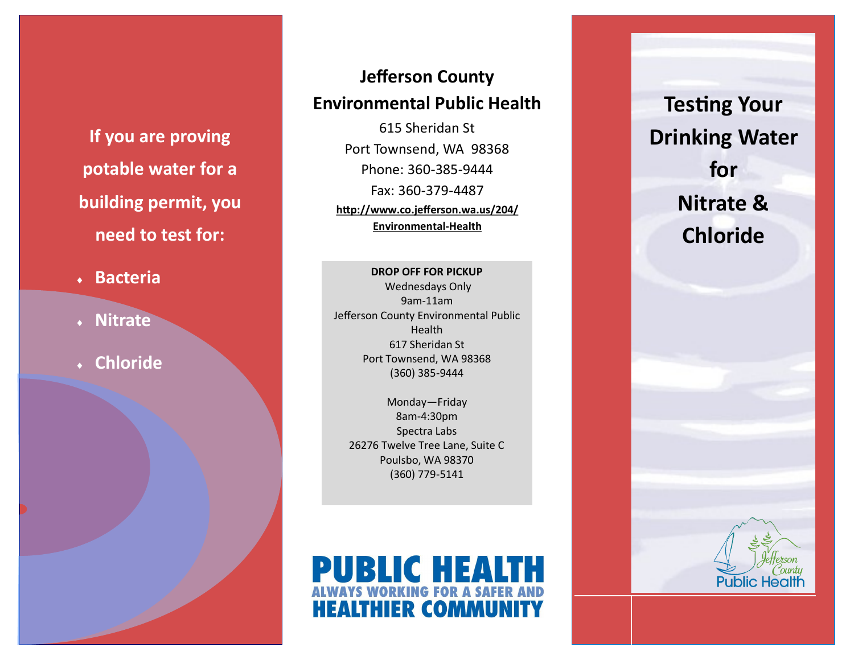**If you are proving potable water for a building permit, you need to test for:**

- **Bacteria**
- **Nitrate**
- **Chloride**

# **Jefferson County Environmental Public Health**

615 Sheridan St Port Townsend, WA 98368 Phone: 360-385-9444 Fax: 360-379-4487 **http://www.co.jefferson.wa.us/204/ Environmental-Health**

#### **DROP OFF FOR PICKUP** Wednesdays Only

9am-11am Jefferson County Environmental Public Health 617 Sheridan St Port Townsend, WA 98368 (360) 385-9444

Monday—Friday 8am-4:30pm Spectra Labs 26276 Twelve Tree Lane, Suite C Poulsbo, WA 98370 (360) 779-5141



**Testing Your Drinking Water for Nitrate & Chloride**